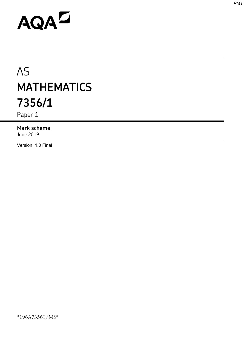# AQAD

# AS **MATHEMATICS 7356/1**

Paper 1

**Mark scheme** June 2019

Version: 1.0 Final

\*196A73561/MS\*

*PMT*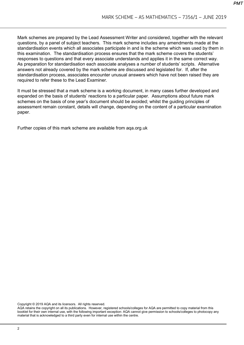*PMT*

Mark schemes are prepared by the Lead Assessment Writer and considered, together with the relevant questions, by a panel of subject teachers. This mark scheme includes any amendments made at the standardisation events which all associates participate in and is the scheme which was used by them in this examination. The standardisation process ensures that the mark scheme covers the students' responses to questions and that every associate understands and applies it in the same correct way. As preparation for standardisation each associate analyses a number of students' scripts. Alternative answers not already covered by the mark scheme are discussed and legislated for. If, after the standardisation process, associates encounter unusual answers which have not been raised they are required to refer these to the Lead Examiner.

It must be stressed that a mark scheme is a working document, in many cases further developed and expanded on the basis of students' reactions to a particular paper. Assumptions about future mark schemes on the basis of one year's document should be avoided; whilst the guiding principles of assessment remain constant, details will change, depending on the content of a particular examination paper.

Further copies of this mark scheme are available from aqa.org.uk

Copyright © 2019 AQA and its licensors. All rights reserved.

AQA retains the copyright on all its publications. However, registered schools/colleges for AQA are permitted to copy material from this booklet for their own internal use, with the following important exception: AQA cannot give permission to schools/colleges to photocopy any material that is acknowledged to a third party even for internal use within the centre.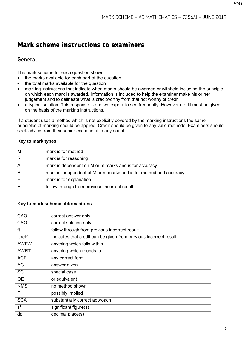# **Mark scheme instructions to examiners**

# **General**

The mark scheme for each question shows:

- the marks available for each part of the question
- the total marks available for the question
- marking instructions that indicate when marks should be awarded or withheld including the principle on which each mark is awarded. Information is included to help the examiner make his or her judgement and to delineate what is creditworthy from that not worthy of credit
- a typical solution. This response is one we expect to see frequently. However credit must be given on the basis of the marking instructions.

If a student uses a method which is not explicitly covered by the marking instructions the same principles of marking should be applied. Credit should be given to any valid methods. Examiners should seek advice from their senior examiner if in any doubt.

# **Key to mark types**

| M              | mark is for method                                                 |
|----------------|--------------------------------------------------------------------|
| $\mathsf{R}$   | mark is for reasoning                                              |
| $\overline{A}$ | mark is dependent on M or m marks and is for accuracy              |
| B              | mark is independent of M or m marks and is for method and accuracy |
| Е              | mark is for explanation                                            |
|                | follow through from previous incorrect result                      |

# **Key to mark scheme abbreviations**

| CAO         | correct answer only                                               |
|-------------|-------------------------------------------------------------------|
| <b>CSO</b>  | correct solution only                                             |
| ft          | follow through from previous incorrect result                     |
| 'their'     | Indicates that credit can be given from previous incorrect result |
| <b>AWFW</b> | anything which falls within                                       |
| AWRT        | anything which rounds to                                          |
| <b>ACF</b>  | any correct form                                                  |
| AG          | answer given                                                      |
| <b>SC</b>   | special case                                                      |
| <b>OE</b>   | or equivalent                                                     |
| <b>NMS</b>  | no method shown                                                   |
| PI          | possibly implied                                                  |
| <b>SCA</b>  | substantially correct approach                                    |
| sf          | significant figure(s)                                             |
| dp          | decimal place(s)                                                  |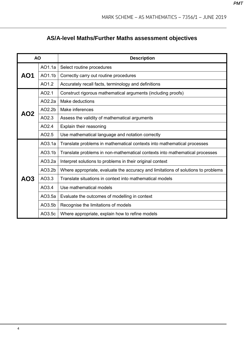# **AS/A-level Maths/Further Maths assessment objectives**

| <b>AO</b>  |                    | <b>Description</b>                                                                |  |  |  |  |
|------------|--------------------|-----------------------------------------------------------------------------------|--|--|--|--|
|            | AO1.1a             | Select routine procedures                                                         |  |  |  |  |
| AO1        | AO1.1b             | Correctly carry out routine procedures                                            |  |  |  |  |
|            | AO1.2              | Accurately recall facts, terminology and definitions                              |  |  |  |  |
|            | AO2.1              | Construct rigorous mathematical arguments (including proofs)                      |  |  |  |  |
|            | AO2.2a             | Make deductions                                                                   |  |  |  |  |
| <b>AO2</b> | AO2.2 <sub>b</sub> | Make inferences                                                                   |  |  |  |  |
|            | AO2.3              | Assess the validity of mathematical arguments                                     |  |  |  |  |
|            | AO2.4              | Explain their reasoning                                                           |  |  |  |  |
|            | AO2.5              | Use mathematical language and notation correctly                                  |  |  |  |  |
|            | AO3.1a             | Translate problems in mathematical contexts into mathematical processes           |  |  |  |  |
|            | AO3.1b             | Translate problems in non-mathematical contexts into mathematical processes       |  |  |  |  |
|            | AO3.2a             | Interpret solutions to problems in their original context                         |  |  |  |  |
|            | AO3.2 <sub>b</sub> | Where appropriate, evaluate the accuracy and limitations of solutions to problems |  |  |  |  |
| AO3        | AO3.3              | Translate situations in context into mathematical models                          |  |  |  |  |
|            | AO3.4              | Use mathematical models                                                           |  |  |  |  |
|            | AO3.5a             | Evaluate the outcomes of modelling in context                                     |  |  |  |  |
|            | AO3.5b             | Recognise the limitations of models                                               |  |  |  |  |
|            | AO3.5c             | Where appropriate, explain how to refine models                                   |  |  |  |  |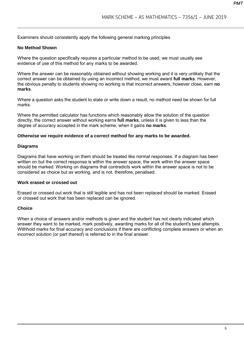Examiners should consistently apply the following general marking principles

## **No Method Shown**

Where the question specifically requires a particular method to be used, we must usually see evidence of use of this method for any marks to be awarded.

Where the answer can be reasonably obtained without showing working and it is very unlikely that the correct answer can be obtained by using an incorrect method, we must award **full marks**. However, the obvious penalty to students showing no working is that incorrect answers, however close, earn **no marks**.

Where a question asks the student to state or write down a result, no method need be shown for full marks.

Where the permitted calculator has functions which reasonably allow the solution of the question directly, the correct answer without working earns **full marks**, unless it is given to less than the degree of accuracy accepted in the mark scheme, when it gains **no marks**.

### **Otherwise we require evidence of a correct method for any marks to be awarded.**

#### **Diagrams**

Diagrams that have working on them should be treated like normal responses. If a diagram has been written on but the correct response is within the answer space, the work within the answer space should be marked. Working on diagrams that contradicts work within the answer space is not to be considered as choice but as working, and is not, therefore, penalised.

### **Work erased or crossed out**

Erased or crossed out work that is still legible and has not been replaced should be marked. Erased or crossed out work that has been replaced can be ignored.

### **Choice**

When a choice of answers and/or methods is given and the student has not clearly indicated which answer they want to be marked, mark positively, awarding marks for all of the student's best attempts. Withhold marks for final accuracy and conclusions if there are conflicting complete answers or when an incorrect solution (or part thereof) is referred to in the final answer.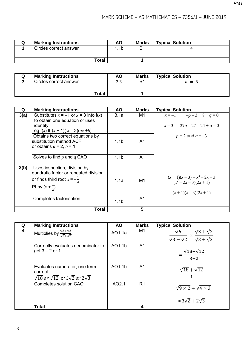*PMT*

| <b>Marking Instructions</b> | ΑO  | <b>Marks</b> | <b>Typical Solution</b> |
|-----------------------------|-----|--------------|-------------------------|
| Circles correct answer      | .1b | B1           |                         |
| Total                       |     |              |                         |

| <b>Marking Instructions</b> | <b>AO</b> | <b>Marks</b>   | <b>Typical Solution</b> |
|-----------------------------|-----------|----------------|-------------------------|
| Circles correct answer      | າາ<br>د.ء | B <sub>1</sub> | $n = 6$                 |
| Total                       |           |                |                         |

| Q    | <b>Marking Instructions</b>                 | AO.              | <b>Marks</b>   | <b>Typical Solution</b>                                 |
|------|---------------------------------------------|------------------|----------------|---------------------------------------------------------|
| 3(a) | Substitutes $x = -1$ or $x = 3$ into $f(x)$ | 3.1a             | M1             | $x=-1$ $-p-3+8+q=0$                                     |
|      | to obtain one equation or uses              |                  |                |                                                         |
|      | identity                                    |                  |                | $x=3$ $27p-27-24+q=0$                                   |
|      | eg f(x) $\equiv (x + 1)(x - 3)(ax + b)$     |                  |                |                                                         |
|      | Obtains two correct equations by            |                  |                | $p = 2$ and $q = -3$                                    |
|      | substitution method ACF                     | 1.1 <sub>b</sub> | A1             |                                                         |
|      | or obtains $a$ = 2, $b$ = 1                 |                  |                |                                                         |
|      |                                             |                  |                |                                                         |
|      | Solves to find $p$ and $q$ CAO              | 1.1 <sub>b</sub> | A <sub>1</sub> |                                                         |
|      |                                             |                  |                |                                                         |
| 3(b) | Uses inspection, division by                |                  |                |                                                         |
|      | quadratic factor or repeated division       |                  |                |                                                         |
|      | or finds third root $x = -\frac{1}{2}$      | 1.1a             | M1             | $(x+1)(x-3) = x^2 - 2x - 3$<br>$(x^2 - 2x - 3)(2x + 1)$ |
|      | PI by $(x + \frac{1}{2})$                   |                  |                |                                                         |
|      |                                             |                  |                | $(x+1)(x-3)(2x+1)$                                      |
|      |                                             |                  |                |                                                         |
|      | Completes factorisation                     | 1.1 <sub>b</sub> | A1             |                                                         |
|      | Total                                       |                  | 5              |                                                         |
|      |                                             |                  |                |                                                         |

| Q | <b>Marking Instructions</b>                                                                          | <b>AO</b> | <b>Marks</b>   | <b>Typical Solution</b>                                                                               |
|---|------------------------------------------------------------------------------------------------------|-----------|----------------|-------------------------------------------------------------------------------------------------------|
| 4 | Multiplies by $\frac{\sqrt{3}+\sqrt{2}}{\sqrt{3}+\sqrt{2}}$                                          | AO1.1a    | M1             | $\frac{\sqrt{6}}{\sqrt{3}-\sqrt{2}} \times \frac{\sqrt{3}+\sqrt{2}}{\sqrt{3}+\sqrt{2}}$<br>$\sqrt{6}$ |
|   | Correctly evaluates denominator to<br>get $3 - 2$ or 1                                               | AO1.1b    | A1             | $=\frac{\sqrt{18}+\sqrt{12}}{3-2}$                                                                    |
|   | Evaluates numerator, one term<br>correct<br>$\sqrt{18}$ or $\sqrt{12}$ or $3\sqrt{2}$ or $2\sqrt{3}$ | AO1.1b    | A1             | $\sqrt{18} + \sqrt{12}$                                                                               |
|   | Completes solution CAO                                                                               | AO2.1     | R <sub>1</sub> | $=\sqrt{9\times2}+\sqrt{4\times3}$<br>$=3\sqrt{2}+2\sqrt{3}$                                          |
|   | <b>Total</b>                                                                                         |           | 4              |                                                                                                       |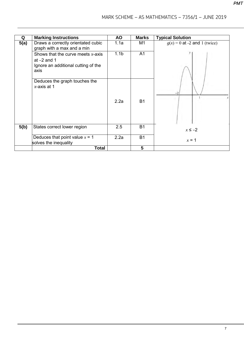| Q    | <b>Marking Instructions</b>                                                                          | <b>AO</b>        | <b>Marks</b>   | <b>Typical Solution</b>        |
|------|------------------------------------------------------------------------------------------------------|------------------|----------------|--------------------------------|
| 5(a) | Draws a correctly orientated cubic<br>graph with a max and a min                                     | 1.1a             | M1             | $g(x) = 0$ at -2 and 1 (twice) |
|      | Shows that the curve meets $x$ -axis<br>at $-2$ and 1<br>Ignore an additional cutting of the<br>axis | 1.1 <sub>b</sub> | A <sub>1</sub> |                                |
|      | Deduces the graph touches the<br>$x$ -axis at 1                                                      | 2.2a             | <b>B1</b>      |                                |
| 5(b) | States correct lower region                                                                          | 2.5              | <b>B1</b>      | $x \le -2$                     |
|      | Deduces that point value $x = 1$<br>solves the inequality                                            | 2.2a             | <b>B1</b>      | $x = 1$                        |
|      | Total                                                                                                |                  | 5              |                                |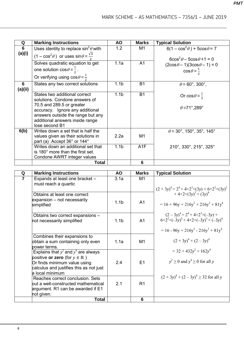| Q            | <b>Marking Instructions</b>                                                                                                                                                                                              | <b>AO</b>                | <b>Marks</b>          | <b>Typical Solution</b>                                                        |
|--------------|--------------------------------------------------------------------------------------------------------------------------------------------------------------------------------------------------------------------------|--------------------------|-----------------------|--------------------------------------------------------------------------------|
| 6<br>(a)(i)  | Uses identity to replace $\sin^2\theta$ with<br>$(1 - \cos^2 \theta)$ or uses $\sin \theta = \frac{\sqrt{3}}{2}$                                                                                                         | 1.2                      | M <sub>1</sub>        | $6(1-\cos^2\theta) + 5\cos\theta = 7$<br>$6\cos^2\theta - 5\cos\theta + 1 = 0$ |
|              | Solves quadratic equation to get<br>one solution $\cos \theta = \frac{1}{2}$ .<br>Or verifying using $\cos\theta = \frac{1}{2}$                                                                                          | 1.1a                     | A <sub>1</sub>        | $(2cos\theta - 1)(3cos\theta - 1) = 0$<br>$\cos\theta = \frac{1}{2}$           |
| 6<br>(a)(ii) | States any two correct solutions                                                                                                                                                                                         | 1.1 <sub>b</sub>         | <b>B1</b>             | $\theta = 60^\circ$ , 300°,                                                    |
|              | States two additional correct<br>solutions. Condone answers of<br>70.5 and 289.5 or greater<br>accuracy. Ignore any additional<br>answers outside the range but any<br>additional answers inside range<br>lose second B1 | 1.1 <sub>b</sub>         | <b>B1</b>             | Or $\cos\theta = \frac{1}{2}$<br>$\theta = 71^{\circ}, 289^{\circ}$            |
| 6(b)         | Writes down a set that is half the<br>values given as their solutions in<br>part (a) Accept 36° or 144°<br>Writes down an additional set that                                                                            | 2.2a<br>1.1 <sub>b</sub> | M <sub>1</sub><br>A1F | $\theta = 30^{\circ}$ , 150°, 35°, 145°                                        |
|              | is 180° more than the first set.<br>Condone AWRT integer values                                                                                                                                                          |                          |                       | 210°, 330°, 215°, 325°                                                         |
|              | Total                                                                                                                                                                                                                    |                          | 6                     |                                                                                |

| Q              | <b>Marking Instructions</b>                                    | <b>AO</b>        | <b>Marks</b>   | <b>Typical Solution</b>                                                                                               |
|----------------|----------------------------------------------------------------|------------------|----------------|-----------------------------------------------------------------------------------------------------------------------|
| $\overline{7}$ | Expands at least one bracket -                                 | 3.1a             | M1             |                                                                                                                       |
|                | must reach a quartic                                           |                  |                |                                                                                                                       |
|                |                                                                |                  |                | $(2+3y)^4 = 2^4 + 4 \times 2^3 \times (3y) + 6 \times 2^2 \times (3y)^2$                                              |
|                | Obtains at least one correct                                   |                  |                | + $4 \times 2 \times (3y)^3$ + $(3y)^4$                                                                               |
|                | expansion - not necessarily                                    | 1.1 <sub>b</sub> | A1             |                                                                                                                       |
|                | simplified                                                     |                  |                | $= 16 + 96y + 216y^{2} + 216y^{3} + 81y^{4}$                                                                          |
|                |                                                                |                  |                |                                                                                                                       |
|                | Obtains two correct expansions -<br>not necessarily simplified | 1.1 <sub>b</sub> | A <sub>1</sub> | $(2-3y)^4 = 2^4 + 4 \times 2^3 \times (-3y) +$<br>$6 \times 2^2 \times (-3y)^2 + 4 \times 2 \times (-3y)^3 + (-3y)^4$ |
|                |                                                                |                  |                |                                                                                                                       |
|                |                                                                |                  |                | $= 16 - 96y + 216y^{2} - 216y^{3} + 81y^{4}$                                                                          |
|                | Combines their expansions to                                   |                  |                |                                                                                                                       |
|                | obtain a sum containing only even                              | 1.1a             | M1             | $(2+3y)^4+(2-3y)^4$                                                                                                   |
|                | power terms.                                                   |                  |                |                                                                                                                       |
|                | Explains that $y^2$ and $y^4$ are always                       |                  |                | $=$ 32 + 432 $y^2$ + 162 $y^4$                                                                                        |
|                | positive <b>or zero</b> (for $y \in \mathbb{R}$ )              |                  |                |                                                                                                                       |
|                | Or finds minimum value using                                   | 2.4              | E1             | $y^2 \ge 0$ and $y^4 \ge 0$ for all y                                                                                 |
|                | calculus and justifies this as not just                        |                  |                |                                                                                                                       |
|                | a local minimum                                                |                  |                | $(2+3y)^4 + (2-3y)^4 \ge 32$ for all y                                                                                |
|                | Reaches correct conclusion. Sets                               |                  |                |                                                                                                                       |
|                | out a well-constructed mathematical                            | 2.1              | R <sub>1</sub> |                                                                                                                       |
|                | argument. R1 can be awarded if E1                              |                  |                |                                                                                                                       |
|                | not given.                                                     |                  |                |                                                                                                                       |
|                | Total                                                          |                  | 6              |                                                                                                                       |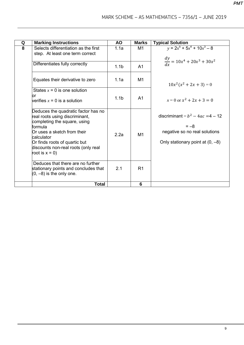| Q | <b>Marking Instructions</b>                                                                                                                                                                                                                                | <b>AO</b>        | <b>Marks</b>   | <b>Typical Solution</b>                                                                                             |
|---|------------------------------------------------------------------------------------------------------------------------------------------------------------------------------------------------------------------------------------------------------------|------------------|----------------|---------------------------------------------------------------------------------------------------------------------|
| 8 | Selects differentiation as the first<br>step. At least one term correct                                                                                                                                                                                    | 1.1a             | M1             | $\frac{x^2-1}{y^2-2x^5+5x^4+10x^3-8}$                                                                               |
|   | Differentiates fully correctly                                                                                                                                                                                                                             | 1.1 <sub>b</sub> | A <sub>1</sub> | $\frac{dy}{dx} = 10x^4 + 20x^3 + 30x^2$                                                                             |
|   | Equates their derivative to zero                                                                                                                                                                                                                           | 1.1a             | M <sub>1</sub> | $10x^2(x^2+2x+3)=0$                                                                                                 |
|   | States $x = 0$ is one solution<br>or<br>verifies $x = 0$ is a solution                                                                                                                                                                                     | 1.1 <sub>b</sub> | A <sub>1</sub> | $x = 0$ or $x^2 + 2x + 3 = 0$                                                                                       |
|   | Deduces the quadratic factor has no<br>real roots using discriminant,<br>completing the square, using<br>formula<br>Or uses a sketch from their<br>calculator<br>Or finds roots of quartic but<br>discounts non-real roots (only real<br>root is $x = 0$ ) | 2.2a             | M <sub>1</sub> | discriminant = $b^2 - 4ac = 4 - 12$<br>$=-8$<br>negative so no real solutions<br>Only stationary point at $(0, -8)$ |
|   | Deduces that there are no further<br>stationary points and concludes that<br>$(0, -8)$ is the only one.                                                                                                                                                    | 2.1              | R <sub>1</sub> |                                                                                                                     |
|   | <b>Total</b>                                                                                                                                                                                                                                               |                  | 6              |                                                                                                                     |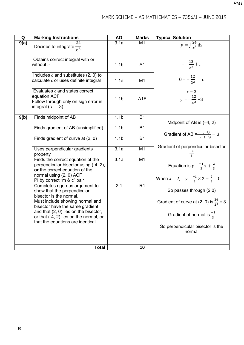| Q    | <b>Marking Instructions</b>                                                                                      | <b>AO</b>        | <b>Marks</b>     | <b>Typical Solution</b>                                      |
|------|------------------------------------------------------------------------------------------------------------------|------------------|------------------|--------------------------------------------------------------|
| 9(a) | 24<br>Decides to integrate $\frac{1}{x^3}$                                                                       | 3.1a             | M <sub>1</sub>   | $y = \int \frac{24}{x^3} dx$                                 |
|      | Obtains correct integral with or<br>without $\it c$                                                              | 1.1 <sub>b</sub> | A <sub>1</sub>   | $=-\frac{12}{r^2}+c$                                         |
|      | Includes $c$ and substitutes (2, 0) to<br>calculate $c$ or uses definite integral                                | 1.1a             | M <sub>1</sub>   | $0 = -\frac{12}{2^2} + c$                                    |
|      | Evaluates $c$ and states correct<br>equation ACF<br>Follow through only on sign error in<br>integral (c = $-3$ ) | 1.1 <sub>b</sub> | A <sub>1</sub> F | $c=3$<br>$y = -\frac{12}{x^2} + 3$                           |
| 9(b) | Finds midpoint of AB                                                                                             | 1.1 <sub>b</sub> | <b>B1</b>        | Midpoint of AB is $(-4, 2)$                                  |
|      | Finds gradient of AB (unsimplified)                                                                              | 1.1 <sub>b</sub> | <b>B1</b>        | Gradient of AB = $\frac{8-(-4)}{-2-(-6)} = 3$                |
|      | Finds gradient of curve at (2, 0)                                                                                | 1.1 <sub>b</sub> | <b>B1</b>        |                                                              |
|      | Uses perpendicular gradients<br>property                                                                         | 3.1a             | M <sub>1</sub>   | Gradient of perpendicular bisector                           |
|      | Finds the correct equation of the<br>perpendicular bisector using (-4, 2),<br>or the correct equation of the     | 3.1a             | M <sub>1</sub>   | Equation is $y = \frac{-1}{3}x + \frac{2}{3}$                |
|      | normal using (2, 0) ACF<br>PI by correct "m & c" pair                                                            |                  |                  | When $x = 2$ , $y = \frac{-1}{3} \times 2 + \frac{2}{3} = 0$ |
|      | Completes rigorous argument to<br>show that the perpendicular<br>bisector is the normal.                         | 2.1              | R <sub>1</sub>   | So passes through (2,0)                                      |
|      | Must include showing normal and<br>bisector have the same gradient                                               |                  |                  | Gradient of curve at (2, 0) is $\frac{24}{23}$ = 3           |
|      | and that (2, 0) lies on the bisector,<br>or that (-4, 2) lies on the normal, or                                  |                  |                  | Gradient of normal is $\frac{-1}{3}$                         |
|      | that the equations are identical.                                                                                |                  |                  | So perpendicular bisector is the<br>normal                   |
|      |                                                                                                                  |                  |                  |                                                              |
|      | <b>Total</b>                                                                                                     |                  | 10               |                                                              |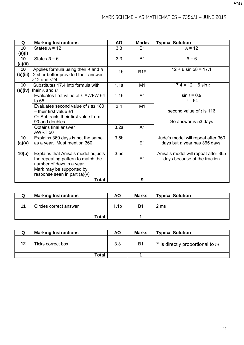| Q               | <b>Marking Instructions</b>             | <b>AO</b>        | <b>Marks</b>     | <b>Typical Solution</b>             |
|-----------------|-----------------------------------------|------------------|------------------|-------------------------------------|
| 10              | States $A = 12$                         | 3.3              | <b>B1</b>        | $A = 12$                            |
| (a)(i)          |                                         |                  |                  |                                     |
| 10 <sup>°</sup> | States $B = 6$                          | 3.3              | <b>B1</b>        | $B = 6$                             |
| (a)(ii)         |                                         |                  |                  |                                     |
| 10              | Applies formula using their $A$ and $B$ | 1.1 <sub>b</sub> | B <sub>1</sub> F | $12 + 6 \sin 58 = 17.1$             |
| (a)(iii)        | 2 sf or better provided their answer    |                  |                  |                                     |
|                 | $>12$ and $< 24$                        |                  |                  |                                     |
| 10 <sup>°</sup> | Substitutes 17.4 into formula with      | 1.1a             | M1               | $17.4 = 12 + 6 \sin t$              |
| (a)(iv)         | their $A$ and $B$                       |                  |                  |                                     |
|                 | Evaluates first value of t. AWFW 64     | 1.1 <sub>b</sub> | A <sub>1</sub>   | $\sin t = 0.9$                      |
|                 | to $65$                                 |                  |                  | $t = 64$                            |
|                 | Evaluates second value of $t$ as 180    | 3.4              | M <sub>1</sub>   |                                     |
|                 | $-$ their first value $\pm 1$           |                  |                  | second value of $t$ is 116          |
|                 | Or Subtracts their first value from     |                  |                  |                                     |
|                 | 90 and doubles                          |                  |                  | So answer is 53 days                |
|                 | <b>Obtains final answer</b>             | 3.2a             | A <sub>1</sub>   |                                     |
|                 | AWRT <sub>50</sub>                      |                  |                  |                                     |
| 10 <sub>1</sub> | Explains 360 days is not the same       | 3.5 <sub>b</sub> |                  | Jude's model will repeat after 360  |
| (a)(v)          | as a year. Must mention 360             |                  | E1               | days but a year has 365 days.       |
|                 |                                         |                  |                  |                                     |
| 10(b)           | Explains that Anisa's model adjusts     | 3.5 <sub>c</sub> |                  | Anisa's model will repeat after 365 |
|                 | the repeating pattern to match the      |                  | E1               | days because of the fraction        |
|                 | number of days in a year.               |                  |                  |                                     |
|                 | Mark may be supported by                |                  |                  |                                     |
|                 | response seen in part $(a)(v)$          |                  |                  |                                     |
|                 | <b>Total</b>                            |                  | 9                |                                     |

|    | <b>Marking Instructions</b> | ΑO               | <b>Marks</b>   | <b>Typical Solution</b> |
|----|-----------------------------|------------------|----------------|-------------------------|
| 11 | Circles correct answer      | 1.1 <sub>b</sub> | B <sub>1</sub> | $2 \text{ ms}^{-1}$     |
|    | Total                       |                  |                |                         |

| ω  | <b>Marking Instructions</b> | ΑO  | <b>Marks</b> | <b>Typical Solution</b>             |
|----|-----------------------------|-----|--------------|-------------------------------------|
| 12 | Ticks correct box           | 3.3 | <b>B1</b>    | $T$ is directly proportional to $m$ |
|    | Total                       |     |              |                                     |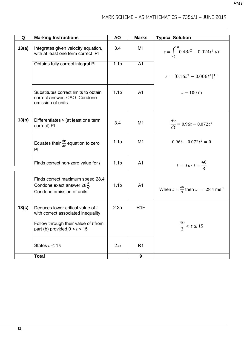| Q     | <b>Marking Instructions</b>                                                                              | <b>AO</b>        | <b>Marks</b>     | <b>Typical Solution</b>                                  |
|-------|----------------------------------------------------------------------------------------------------------|------------------|------------------|----------------------------------------------------------|
| 13(a) | Integrates given velocity equation,<br>with at least one term correct PI                                 | 3.4              | M <sub>1</sub>   | $s = \int_{0}^{10} 0.48t^2 - 0.024t^3 dt$                |
|       | Obtains fully correct integral PI                                                                        | 1.1 <sub>b</sub> | A <sub>1</sub>   | $s = [0.16t^3 - 0.006t^4]_0^{10}$                        |
|       | Substitutes correct limits to obtain<br>correct answer. CAO. Condone<br>omission of units.               | 1.1 <sub>b</sub> | A <sub>1</sub>   | $s = 100$ m                                              |
| 13(b) | Differentiates $v$ (at least one term<br>correct) PI                                                     | 3.4              | M <sub>1</sub>   | $\frac{dv}{dt} = 0.96t - 0.072t^2$                       |
|       | Equates their $\frac{dv}{dt}$ equation to zero<br>PI                                                     | 1.1a             | M <sub>1</sub>   | $0.96t - 0.072t^2 = 0$                                   |
|       | Finds correct non-zero value for t                                                                       | 1.1 <sub>b</sub> | A <sub>1</sub>   | $t = 0$ or $t = \frac{40}{3}$                            |
|       | Finds correct maximum speed 28.4<br>Condone exact answer $28\frac{4}{5}$ .<br>Condone omission of units. | 1.1 <sub>b</sub> | A1               | When $t = \frac{40}{3}$ then $v = 28.4$ ms <sup>-1</sup> |
| 13(c) | Deduces lower critical value of t<br>with correct associated inequality                                  | 2.2a             | R <sub>1</sub> F |                                                          |
|       | Follow through their value of $t$ from<br>part (b) provided $0 < t < 15$                                 |                  |                  | $\frac{40}{3} < t \leq 15$                               |
|       | States $t \leq 15$                                                                                       | 2.5              | R <sub>1</sub>   |                                                          |
|       | <b>Total</b>                                                                                             |                  | $\boldsymbol{9}$ |                                                          |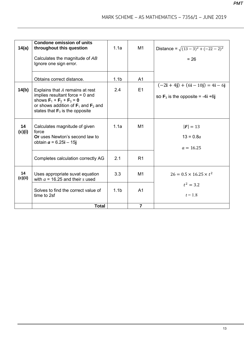| 14(a)         | <b>Condone omission of units</b><br>throughout this question                                                                                                                         | 1.1a             | M1             | Distance = $\sqrt{(13-3)^2+(-22-2)^2}$                                             |
|---------------|--------------------------------------------------------------------------------------------------------------------------------------------------------------------------------------|------------------|----------------|------------------------------------------------------------------------------------|
|               | Calculates the magnitude of AB<br>Ignore one sign error.                                                                                                                             |                  |                | $= 26$                                                                             |
|               | Obtains correct distance.                                                                                                                                                            | 1.1 <sub>b</sub> | A <sub>1</sub> |                                                                                    |
| 14(b)         | Explains that A remains at rest<br>implies resultant force $= 0$ and<br>shows $F_1 + F_2 + F_3 = 0$<br>or shows addition of $F_1$ and $F_2$ and<br>states that $F_3$ is the opposite | 2.4              | E1             | $(-2i + 4j) + (6i - 10j) = 4i - 6j$<br>so $\mathbf{F}_3$ is the opposite = -4i +6j |
| 14<br>(c)(i)  | Calculates magnitude of given<br>force<br><b>Or</b> uses Newton's second law to<br>obtain $a = 6.25i - 15j$                                                                          | 1.1a             | M1             | $ F  = 13$<br>$13 = 0.8a$<br>$a = 16.25$                                           |
|               | Completes calculation correctly AG                                                                                                                                                   | 2.1              | R <sub>1</sub> |                                                                                    |
| 14<br>(c)(ii) | Uses appropriate suvat equation<br>with $a = 16.25$ and their s used                                                                                                                 | 3.3              | M1             | $26 = 0.5 \times 16.25 \times t^2$                                                 |
|               | Solves to find the correct value of<br>time to 2sf                                                                                                                                   | 1.1 <sub>b</sub> | A <sub>1</sub> | $t^2 = 3.2$<br>$t = 1.8$                                                           |
|               | <b>Total</b>                                                                                                                                                                         |                  | $\overline{7}$ |                                                                                    |